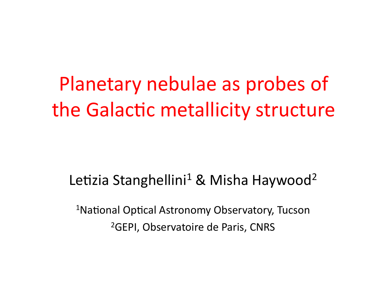# Planetary nebulae as probes of the Galactic metallicity structure

## Letizia Stanghellini<sup>1</sup> & Misha Haywood<sup>2</sup>

<sup>1</sup>National Optical Astronomy Observatory, Tucson <sup>2</sup>GEPI, Observatoire de Paris, CNRS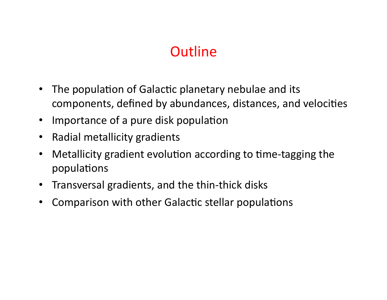# **Outline**

- The population of Galactic planetary nebulae and its components, defined by abundances, distances, and velocities
- Importance of a pure disk population
- Radial metallicity gradients
- Metallicity gradient evolution according to time-tagging the populations
- Transversal gradients, and the thin-thick disks
- Comparison with other Galactic stellar populations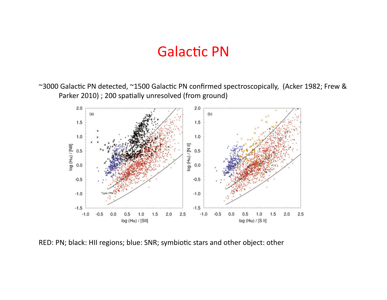#### **Galactic PN**

~3000 Galactic PN detected, ~1500 Galactic PN confirmed spectroscopically, (Acker 1982; Frew & Parker 2010) ; 200 spatially unresolved (from ground)



RED: PN; black: HII regions; blue: SNR; symbiotic stars and other object: other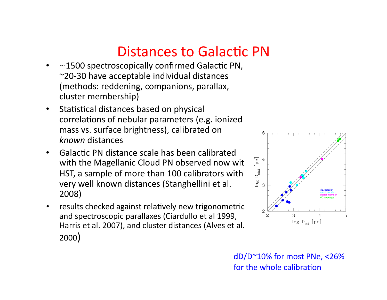### Distances to Galactic PN

- $\sim$ 1500 spectroscopically confirmed Galactic PN,  $\sim$ 20-30 have acceptable individual distances (methods: reddening, companions, parallax, cluster membership)
- Statistical distances based on physical correlations of nebular parameters (e.g. ionized) mass vs. surface brightness), calibrated on *known%*distances)
- Galactic PN distance scale has been calibrated with the Magellanic Cloud PN observed now with HST, a sample of more than 100 calibrators with very well known distances (Stanghellini et al.) 2008)
- results checked against relatively new trigonometric and spectroscopic parallaxes (Ciardullo et al 1999, Harris et al. 2007), and cluster distances (Alves et al. 2000))



 $dD/D^{\sim}10\%$  for most PNe, <26% for the whole calibration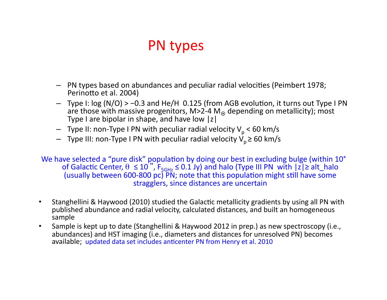# PN types

- $-$  PN types based on abundances and peculiar radial velocities (Peimbert 1978; Perinotto et al. 2004)
- Type)I:)log)(N/O))>)−0.3)and)He/H))0.125)(from)AGB)evolu3on,)it)turns)out)Type)I)PN) are those with massive progenitors, M>2-4 M<sub>o</sub> depending on metallicity); most Type I are bipolar in shape, and have low  $|z|$
- Type II: non-Type I PN with peculiar radial velocity  $V_p$  < 60 km/s
- Type III: non-Type I PN with peculiar radial velocity  $V_p$ ≥ 60 km/s

We have selected a "pure disk" population by doing our best in excluding bulge (within 10°) of Galactic Center,  $\theta \le 10$ ",  $F_{5GHz} \le 0.1$ Jy) and halo (Type III PN with  $|\overline{z}| \ge alt_halo$ (usually between 600-800 pc)  $\overrightarrow{PN}$ ; note that this population might still have some stragglers, since distances are uncertain

- Stanghellini & Haywood (2010) studied the Galactic metallicity gradients by using all PN with published abundance and radial velocity, calculated distances, and built an homogeneous sample)
- Sample is kept up to date (Stanghellini & Haywood 2012 in prep.) as new spectroscopy (i.e., abundances) and HST imaging (i.e., diameters and distances for unresolved PN) becomes available; updated data set includes anticenter PN from Henry et al. 2010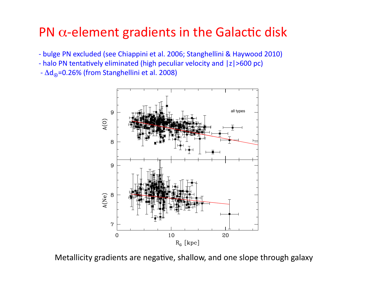#### PN  $\alpha$ -element gradients in the Galactic disk

- bulge PN excluded (see Chiappini et al. 2006; Stanghellini & Haywood 2010)
- halo PN tentatively eliminated (high peculiar velocity and |z|>600 pc)
- $-\Delta d_{\odot}$ =0.26% (from Stanghellini et al. 2008)



Metallicity gradients are negative, shallow, and one slope through galaxy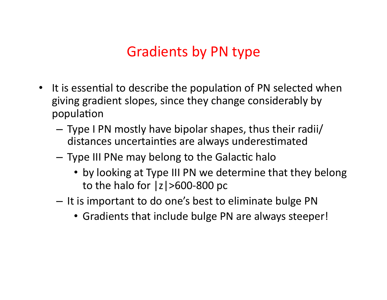# Gradients by PN type

- It is essential to describe the population of PN selected when giving gradient slopes, since they change considerably by population
	- $-$  Type I PN mostly have bipolar shapes, thus their radii/ distances uncertainties are always underestimated
	- Type III PNe may belong to the Galactic halo
		- by looking at Type III PN we determine that they belong to the halo for  $|z|>600-800$  pc
	- $-$  It is important to do one's best to eliminate bulge PN
		- Gradients that include bulge PN are always steeper!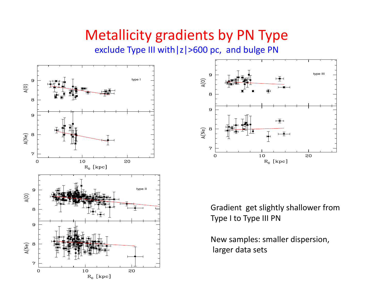### Metallicity gradients by PN Type

exclude Type III with |z|>600 pc, and bulge PN





Gradient get slightly shallower from Type I to Type III PN

New samples: smaller dispersion, larger data sets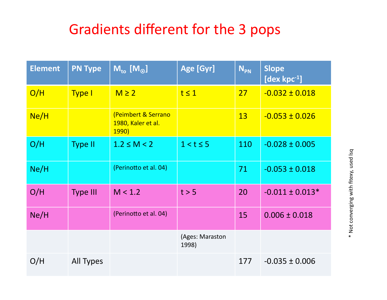# Gradients different for the 3 pops

| <b>Element</b> | <b>PN Type</b>   | $M_{\text{to}}$ [M <sub>o</sub> ]                         | Age [Gyr]                | $N_{PN}$  | <b>Slope</b><br>[dex $kpc^{-1}$ ] |
|----------------|------------------|-----------------------------------------------------------|--------------------------|-----------|-----------------------------------|
| O/H            | <b>Type I</b>    | $M \geq 2$                                                | $t \leq 1$               | 27        | $-0.032 \pm 0.018$                |
| Ne/H           |                  | (Peimbert & Serrano<br>1980, Kaler et al.<br><b>1990)</b> |                          | <b>13</b> | $-0.053 \pm 0.026$                |
| O/H            | <b>Type II</b>   | $1.2 \le M < 2$                                           | $1 < t \leq 5$           | 110       | $-0.028 \pm 0.005$                |
| Ne/H           |                  | (Perinotto et al. 04)                                     |                          | 71        | $-0.053 \pm 0.018$                |
| O/H            | <b>Type III</b>  | M < 1.2                                                   | t > 5                    | 20        | $-0.011 \pm 0.013*$               |
| Ne/H           |                  | (Perinotto et al. 04)                                     |                          | 15        | $0.006 \pm 0.018$                 |
|                |                  |                                                           | (Ages: Maraston<br>1998) |           |                                   |
| O/H            | <b>All Types</b> |                                                           |                          | 177       | $-0.035 \pm 0.006$                |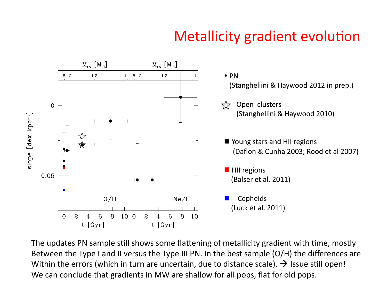# Metallicity gradient evolution



The updates PN sample still shows some flattening of metallicity gradient with time, mostly Between the Type I and II versus the Type III PN. In the best sample (O/H) the differences are Within the errors (which in turn are uncertain, due to distance scale).  $\rightarrow$  Issue still open! We can conclude that gradients in MW are shallow for all pops, flat for old pops.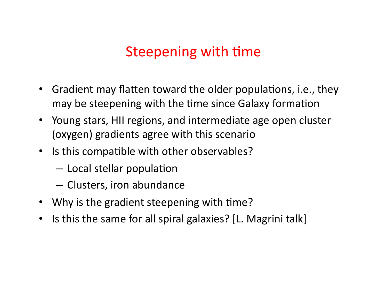## Steepening with time

- Gradient may flatten toward the older populations, i.e., they may be steepening with the time since Galaxy formation
- Young stars, HII regions, and intermediate age open cluster (oxygen) gradients agree with this scenario
- Is this compatible with other observables?
	- $-$  Local stellar population
	- Clusters, iron abundance
- Why is the gradient steepening with time?
- Is this the same for all spiral galaxies? [L. Magrini talk]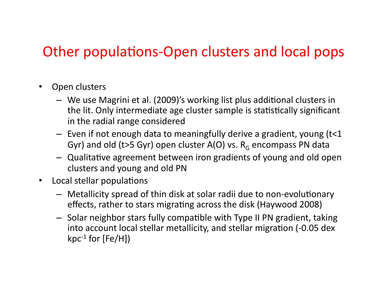# Other populations-Open clusters and local pops

- Open clusters
	- We use Magrini et al. (2009)'s working list plus additional clusters in the lit. Only intermediate age cluster sample is statistically significant in the radial range considered
	- $-$  Even if not enough data to meaningfully derive a gradient, young (t<1) Gyr) and old (t>5 Gyr) open cluster A(O) vs.  $R<sub>G</sub>$  encompass PN data
	- $-$  Qualitative agreement between iron gradients of young and old open clusters and young and old PN
- Local stellar populations
	- $-$  Metallicity spread of thin disk at solar radii due to non-evolutionary effects, rather to stars migrating across the disk (Haywood 2008)
	- $-$  Solar neighbor stars fully compatible with Type II PN gradient, taking into account local stellar metallicity, and stellar migration (-0.05 dex kpc<sup>-1</sup> for  $[Fe/H]$ )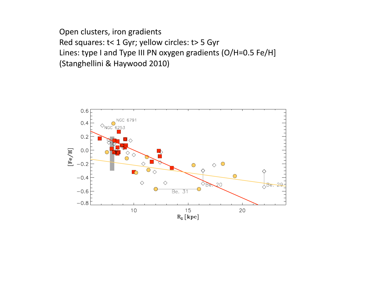Open clusters, iron gradients Red squares: t< 1 Gyr; yellow circles: t> 5 Gyr Lines: type I and Type III PN oxygen gradients (O/H=0.5 Fe/H] (Stanghellini & Haywood 2010)

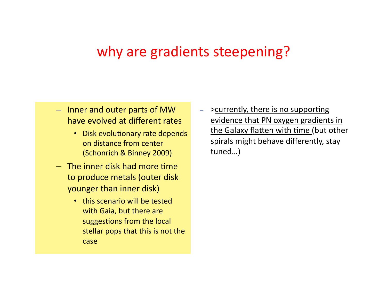#### why are gradients steepening?

- $-$  Inner and outer parts of MW have evolved at different rates
	- Disk evolutionary rate depends on distance from center (Schonrich & Binney 2009)
- $-$  The inner disk had more time to produce metals (outer disk) younger than inner disk)
	- this scenario will be tested with Gaia, but there are suggestions from the local stellar pops that this is not the case)

 $-$  >currently, there is no supporting evidence that PN oxygen gradients in the Galaxy flatten with time (but other) spirals might behave differently, stay tuned…))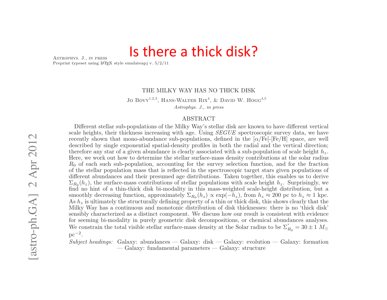#### Is there a thick disk?

Astrophys. J., in press

Preprint typeset using LAT<sub>E</sub>X style emulateapj v.  $5/2/11$ 

#### THE MILKY WAY HAS NO THICK DISK

Jo Bovy<sup>1,2,3</sup>, HANS-WALTER RIX<sup>4</sup>, & DAVID W. HOGG<sup>4,5</sup> Astrophys. J., in press

#### ABSTRACT

Different stellar sub-populations of the Milky Way's stellar disk are known to have different vertical scale heights, their thickness increasing with age. Using *SEGUE* spectroscopic survey data, we have recently shown that mono-abundance sub-populations, defined in the  $\alpha$ /Fe]-[Fe/H] space, are well described by single exponential spatial-density profiles in both the radial and the vertical direction; therefore any star of a given abundance is clearly associated with a sub-population of scale height  $h_z$ . Here, we work out how to determine the stellar surface-mass density contributions at the solar radius  $R_0$  of each such sub-population, accounting for the survey selection function, and for the fraction of the stellar population mass that is reflected in the spectroscopic target stars given populations of different abundances and their presumed age distributions. Taken together, this enables us to derive  $\Sigma_{R_0}(h_z)$ , the surface-mass contributions of stellar populations with scale height  $h_z$ . Surprisingly, we find no hint of a thin-thick disk bi-modality in this mass-weighted scale-height distribution, but a smoothly decreasing function, approximately  $\Sigma_{R_0}(h_z) \propto \exp(-h_z)$ , from  $h_z \approx 200$  pc to  $h_z \approx 1$  kpc. As  $h_z$  is ultimately the structurally defining property of a thin or thick disk, this shows clearly that the Milky Way has a continuous and monotonic distribution of disk thicknesses: there is no 'thick disk' sensibly characterized as a distinct component. We discuss how our result is consistent with evidence for seeming bi-modality in purely geometric disk decompositions, or chemical abundances analyses. We constrain the total visible stellar surface-mass density at the Solar radius to be  $\Sigma_{R_0}^* = 30 \pm 1$  M<sub>\opta</sub>  $pc^{-2}$ .

Subject headings: Galaxy: abundances — Galaxy: disk — Galaxy: evolution — Galaxy: formation — Galaxy: fundamental parameters — Galaxy: structure

tribution of disk stars in the elemental-abundance parameter  $\mathcal{O}(\mathcal{A})$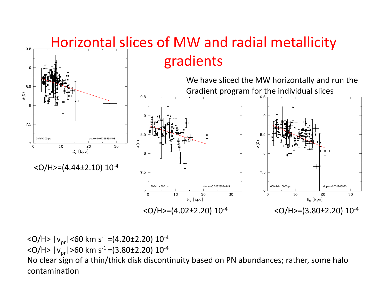

 $\langle$ O/H> | $v_{pr}$ | $\langle$ 60 km s<sup>-1</sup> =(4.20±2.20) 10<sup>-4</sup> <0/H>  $|v_{\text{pr}}|$ >60 km s<sup>-1</sup> =(3.80±2.20) 10<sup>-4</sup> No clear sign of a thin/thick disk discontinuity based on PN abundances; rather, some halo contamination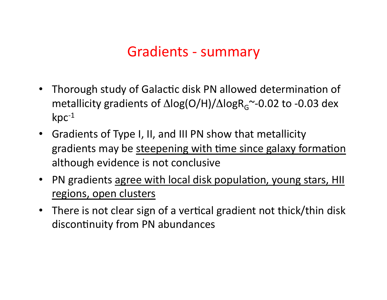### Gradients - summary

- Thorough study of Galactic disk PN allowed determination of metallicity gradients of  $\Delta$ log(O/H)/ $\Delta$ logR<sub>G</sub>~-0.02 to -0.03 dex  $kpc^{-1}$
- Gradients of Type I, II, and III PN show that metallicity gradients may be steepening with time since galaxy formation although evidence is not conclusive
- PN gradients agree with local disk population, young stars, HII regions, open clusters
- There is not clear sign of a vertical gradient not thick/thin disk discontinuity from PN abundances